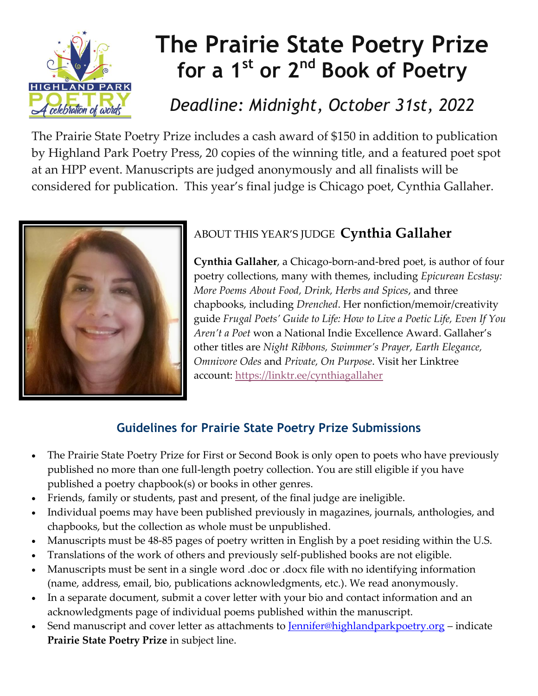

# **[The Prairie State Poetry Prize](https://r20.rs6.net/tn.jsp?f=001dwA_SL3RB1gZqwdKpB1ulMqUPrLCS60bVFyCQmta_Z5QDSOMenze2jE2R-nMlQef9744b3bTE_tKpliJ7EX7byKDsAkYduldB1n1LmXR8p4FHvnGeOgEmSFEZe-_zEt2MFYJjyaHLMXS-IhbtDq2UAyJnfof1Xq0YmKeJHUcw2b0EleO4TQK0bnF7m0lBt9qLsGQFk2BbOYSjuXNWrNhvY3Fo1fTWdfAlo4Zo5Oxfy7kGa6HJ9FI8nH2IEGar4KeHavgm1TCXso=&c=8ODYd6-bpItOeV1yLsjGJBb-YIGH-whNyJtSuWzh6KYvwa_bsl3RYw==&ch=HwMWAdA5y3cBjfD3qJUVpj2K3DsWxQS4ipu7YV3NjHlSt4WKWRmQ5Q==)  for a 1st or 2nd Book of Poetry**

## *Deadline: Midnight, October 31st, 2022*

The Prairie State Poetry Prize includes a cash award of \$150 in addition to publication by Highland Park Poetry Press, 20 copies of the winning title, and a featured poet spot at an HPP event. Manuscripts are judged anonymously and all finalists will be considered for publication. This year's final judge is Chicago poet, Cynthia Gallaher.



## ABOUT THIS YEAR'S JUDGE **Cynthia Gallaher**

**Cynthia Gallaher**, a Chicago-born-and-bred poet, is author of four poetry collections, many with themes, including *Epicurean Ecstasy: More Poems About Food, Drink, Herbs and Spices*, and three chapbooks, including *Drenched*. Her nonfiction/memoir/creativity guide *Frugal Poets' Guide to Life: How to Live a Poetic Life, Even If You Aren't a Poet* won a National Indie Excellence Award. Gallaher's other titles are *Night Ribbons, Swimmer's Prayer, Earth Elegance, Omnivore Odes* and *Private, On Purpose*. Visit her Linktree account: <https://linktr.ee/cynthiagallaher>

### **Guidelines for Prairie State Poetry Prize Submissions**

- The Prairie State Poetry Prize for First or Second Book is only open to poets who have previously published no more than one full-length poetry collection. You are still eligible if you have published a poetry chapbook(s) or books in other genres.
- Friends, family or students, past and present, of the final judge are ineligible.
- Individual poems may have been published previously in magazines, journals, anthologies, and chapbooks, but the collection as whole must be unpublished.
- Manuscripts must be 48-85 pages of poetry written in English by a poet residing within the U.S.
- Translations of the work of others and previously self-published books are not eligible.
- Manuscripts must be sent in a single word .doc or .docx file with no identifying information (name, address, email, bio, publications acknowledgments, etc.). We read anonymously.
- In a separate document, submit a cover letter with your bio and contact information and an acknowledgments page of individual poems published within the manuscript.
- Send manuscript and cover letter as attachments to <u>Jennifer@highlandparkpoetry.org</u> indicate **Prairie State Poetry Prize** in subject line.